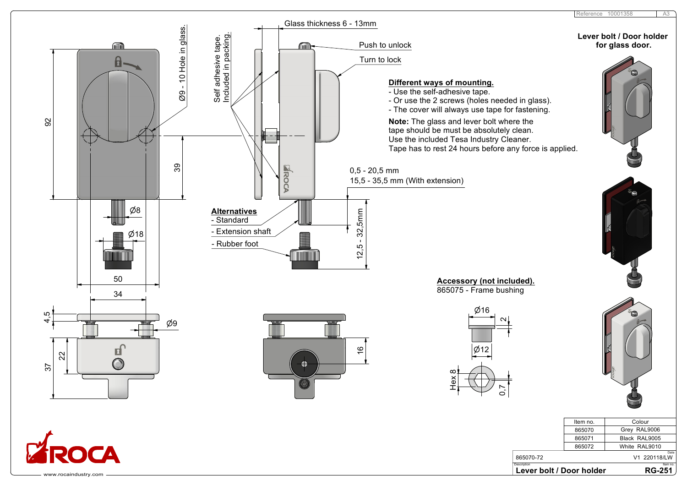